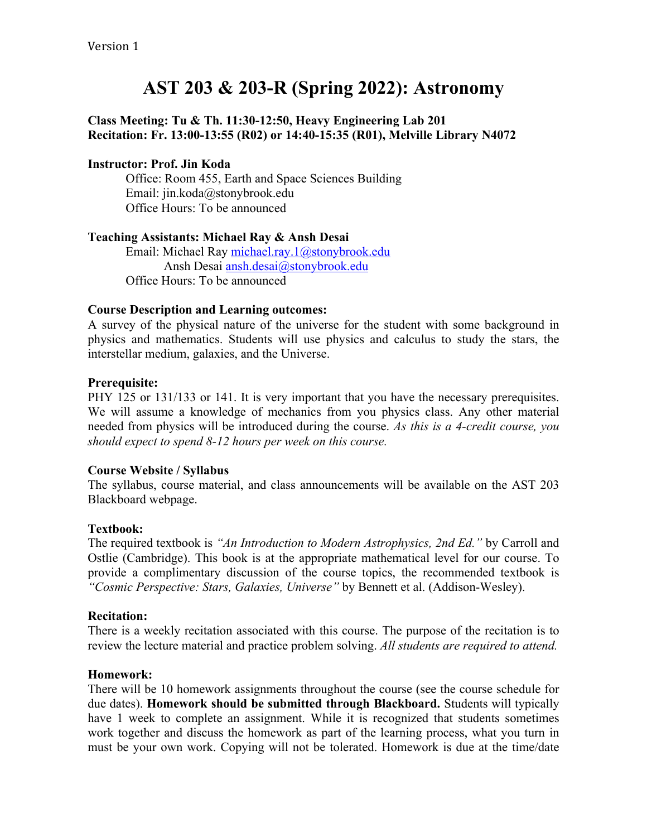# **AST 203 & 203-R (Spring 2022): Astronomy**

## **Class Meeting: Tu & Th. 11:30-12:50, Heavy Engineering Lab 201 Recitation: Fr. 13:00-13:55 (R02) or 14:40-15:35 (R01), Melville Library N4072**

## **Instructor: Prof. Jin Koda**

Office: Room 455, Earth and Space Sciences Building Email: jin.koda@stonybrook.edu Office Hours: To be announced

## **Teaching Assistants: Michael Ray & Ansh Desai**

Email: Michael Ray michael.ray.1@stonybrook.edu Ansh Desai ansh.desai@stonybrook.edu Office Hours: To be announced

## **Course Description and Learning outcomes:**

A survey of the physical nature of the universe for the student with some background in physics and mathematics. Students will use physics and calculus to study the stars, the interstellar medium, galaxies, and the Universe.

## **Prerequisite:**

PHY 125 or 131/133 or 141. It is very important that you have the necessary prerequisites. We will assume a knowledge of mechanics from you physics class. Any other material needed from physics will be introduced during the course. *As this is a 4-credit course, you should expect to spend 8-12 hours per week on this course.*

## **Course Website / Syllabus**

The syllabus, course material, and class announcements will be available on the AST 203 Blackboard webpage.

## **Textbook:**

The required textbook is *"An Introduction to Modern Astrophysics, 2nd Ed."* by Carroll and Ostlie (Cambridge). This book is at the appropriate mathematical level for our course. To provide a complimentary discussion of the course topics, the recommended textbook is *"Cosmic Perspective: Stars, Galaxies, Universe"* by Bennett et al. (Addison-Wesley).

## **Recitation:**

There is a weekly recitation associated with this course. The purpose of the recitation is to review the lecture material and practice problem solving. *All students are required to attend.*

## **Homework:**

There will be 10 homework assignments throughout the course (see the course schedule for due dates). **Homework should be submitted through Blackboard.** Students will typically have 1 week to complete an assignment. While it is recognized that students sometimes work together and discuss the homework as part of the learning process, what you turn in must be your own work. Copying will not be tolerated. Homework is due at the time/date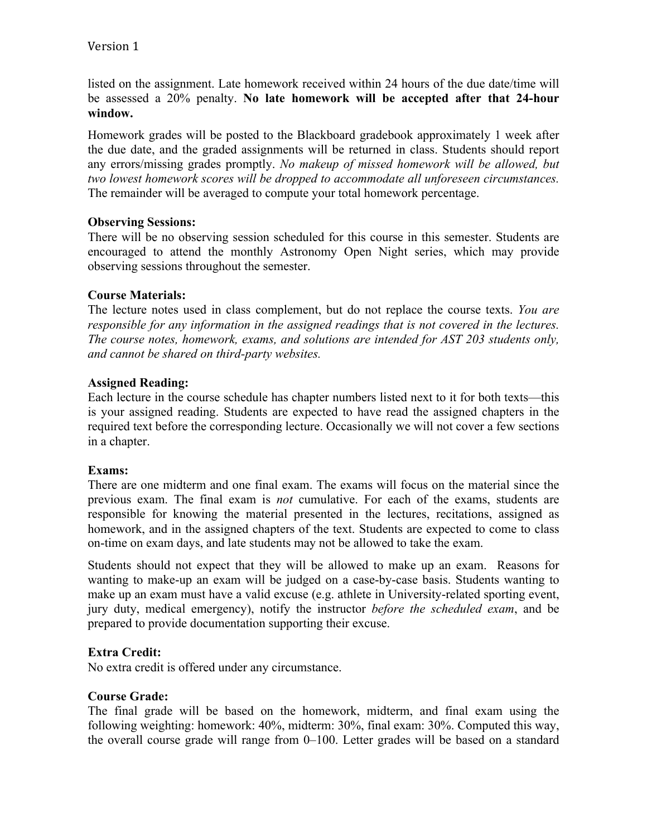listed on the assignment. Late homework received within 24 hours of the due date/time will be assessed a 20% penalty. **No late homework will be accepted after that 24-hour window.**

Homework grades will be posted to the Blackboard gradebook approximately 1 week after the due date, and the graded assignments will be returned in class. Students should report any errors/missing grades promptly. *No makeup of missed homework will be allowed, but two lowest homework scores will be dropped to accommodate all unforeseen circumstances.* The remainder will be averaged to compute your total homework percentage.

## **Observing Sessions:**

There will be no observing session scheduled for this course in this semester. Students are encouraged to attend the monthly Astronomy Open Night series, which may provide observing sessions throughout the semester.

## **Course Materials:**

The lecture notes used in class complement, but do not replace the course texts. *You are responsible for any information in the assigned readings that is not covered in the lectures. The course notes, homework, exams, and solutions are intended for AST 203 students only, and cannot be shared on third-party websites.*

## **Assigned Reading:**

Each lecture in the course schedule has chapter numbers listed next to it for both texts—this is your assigned reading. Students are expected to have read the assigned chapters in the required text before the corresponding lecture. Occasionally we will not cover a few sections in a chapter.

## **Exams:**

There are one midterm and one final exam. The exams will focus on the material since the previous exam. The final exam is *not* cumulative. For each of the exams, students are responsible for knowing the material presented in the lectures, recitations, assigned as homework, and in the assigned chapters of the text. Students are expected to come to class on-time on exam days, and late students may not be allowed to take the exam.

Students should not expect that they will be allowed to make up an exam. Reasons for wanting to make-up an exam will be judged on a case-by-case basis. Students wanting to make up an exam must have a valid excuse (e.g. athlete in University-related sporting event, jury duty, medical emergency), notify the instructor *before the scheduled exam*, and be prepared to provide documentation supporting their excuse.

## **Extra Credit:**

No extra credit is offered under any circumstance.

## **Course Grade:**

The final grade will be based on the homework, midterm, and final exam using the following weighting: homework: 40%, midterm: 30%, final exam: 30%. Computed this way, the overall course grade will range from 0–100. Letter grades will be based on a standard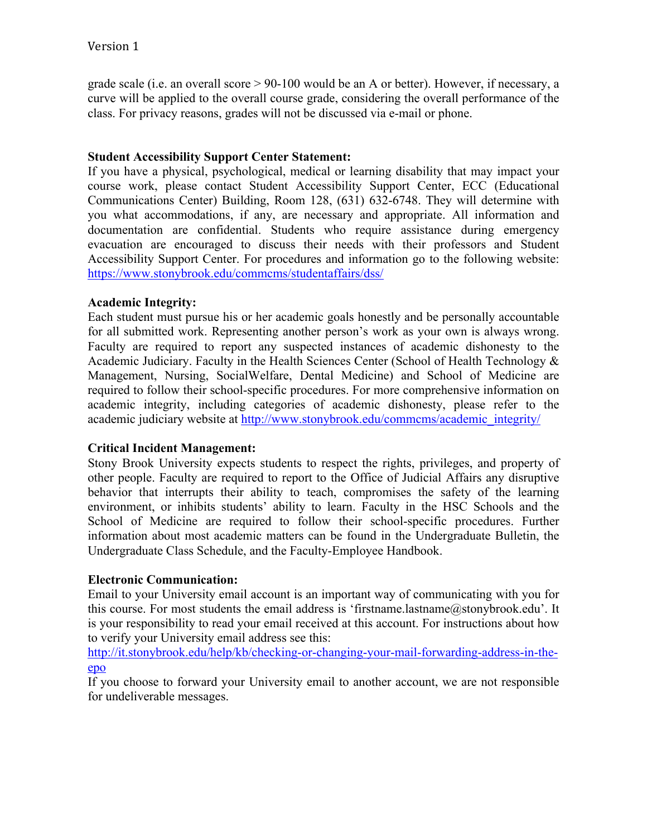grade scale (i.e. an overall score  $> 90-100$  would be an A or better). However, if necessary, a curve will be applied to the overall course grade, considering the overall performance of the class. For privacy reasons, grades will not be discussed via e-mail or phone.

## **Student Accessibility Support Center Statement:**

If you have a physical, psychological, medical or learning disability that may impact your course work, please contact Student Accessibility Support Center, ECC (Educational Communications Center) Building, Room 128, (631) 632-6748. They will determine with you what accommodations, if any, are necessary and appropriate. All information and documentation are confidential. Students who require assistance during emergency evacuation are encouraged to discuss their needs with their professors and Student Accessibility Support Center. For procedures and information go to the following website: https://www.stonybrook.edu/commcms/studentaffairs/dss/

## **Academic Integrity:**

Each student must pursue his or her academic goals honestly and be personally accountable for all submitted work. Representing another person's work as your own is always wrong. Faculty are required to report any suspected instances of academic dishonesty to the Academic Judiciary. Faculty in the Health Sciences Center (School of Health Technology & Management, Nursing, SocialWelfare, Dental Medicine) and School of Medicine are required to follow their school-specific procedures. For more comprehensive information on academic integrity, including categories of academic dishonesty, please refer to the academic judiciary website at http://www.stonybrook.edu/commcms/academic\_integrity/

## **Critical Incident Management:**

Stony Brook University expects students to respect the rights, privileges, and property of other people. Faculty are required to report to the Office of Judicial Affairs any disruptive behavior that interrupts their ability to teach, compromises the safety of the learning environment, or inhibits students' ability to learn. Faculty in the HSC Schools and the School of Medicine are required to follow their school-specific procedures. Further information about most academic matters can be found in the Undergraduate Bulletin, the Undergraduate Class Schedule, and the Faculty-Employee Handbook.

## **Electronic Communication:**

Email to your University email account is an important way of communicating with you for this course. For most students the email address is 'firstname.lastname@stonybrook.edu'. It is your responsibility to read your email received at this account. For instructions about how to verify your University email address see this:

http://it.stonybrook.edu/help/kb/checking-or-changing-your-mail-forwarding-address-in-theepo

If you choose to forward your University email to another account, we are not responsible for undeliverable messages.